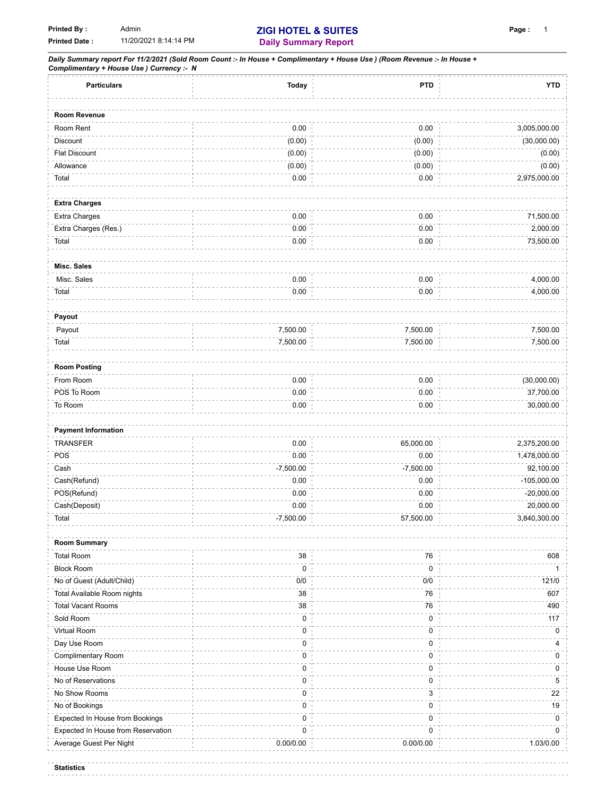*Daily Summary report For 11/2/2021 (Sold Room Count :- In House + Complimentary + House Use ) (Room Revenue :- In House + Complimentary + House Use ) Currency :- N* **Particulars Today PTD YTD**

| <b>Falliculars</b>                 | TOUAY       | <b>FIU</b>  | 1 I D         |
|------------------------------------|-------------|-------------|---------------|
| Room Revenue                       |             |             |               |
| Room Rent                          | $0.00\,$    | $0.00\,$    | 3,005,000.00  |
| Discount                           | (0.00)      | (0.00)      | (30,000.00)   |
| <b>Flat Discount</b>               | (0.00)      | (0.00)      | (0.00)        |
| Allowance                          | (0.00)      | (0.00)      | (0.00)        |
| Total                              | 0.00        | 0.00        | 2,975,000.00  |
|                                    |             |             |               |
| <b>Extra Charges</b>               |             |             |               |
| Extra Charges                      | 0.00        | 0.00        | 71,500.00     |
| Extra Charges (Res.)               | 0.00        | 0.00        | 2,000.00      |
| Total                              | 0.00        | 0.00        | 73,500.00     |
|                                    |             |             |               |
| Misc. Sales                        |             |             |               |
| Misc. Sales                        | 0.00        | 0.00        | 4,000.00      |
| Total                              | 0.00        | 0.00        | 4,000.00      |
|                                    |             |             |               |
| Payout                             |             |             |               |
| Payout                             | 7,500.00    | 7,500.00    | 7,500.00      |
| Total                              | 7,500.00    | 7,500.00    | 7,500.00      |
|                                    |             |             |               |
| <b>Room Posting</b>                |             |             |               |
| From Room                          | 0.00        | $0.00\,$    | (30,000.00)   |
| POS To Room                        | 0.00        | 0.00        | 37,700.00     |
| To Room                            | 0.00        | 0.00        | 30,000.00     |
|                                    |             |             |               |
| <b>Payment Information</b>         |             |             |               |
| <b>TRANSFER</b>                    | 0.00        | 65,000.00   | 2,375,200.00  |
| POS                                | 0.00        | 0.00        | 1,478,000.00  |
| Cash                               | $-7,500.00$ | $-7,500.00$ | 92,100.00     |
| Cash(Refund)                       | 0.00        | 0.00        | $-105,000.00$ |
| POS(Refund)                        | 0.00        | 0.00        | $-20,000.00$  |
| Cash(Deposit)                      | 0.00        | 0.00        | 20,000.00     |
| Total                              | $-7,500.00$ | 57,500.00   | 3,840,300.00  |
|                                    |             |             |               |
| <b>Room Summary</b>                |             |             |               |
| <b>Total Room</b>                  | 38          | 76          | 608           |
| <b>Block Room</b>                  | $\mathbf 0$ | $\mathbf 0$ | 1             |
| No of Guest (Adult/Child)          | 0/0         | 0/0         | 121/0         |
| Total Available Room nights        | 38          | 76          | 607           |
| <b>Total Vacant Rooms</b>          | 38          | $76\,$      | 490           |
| Sold Room                          | 0           | $\pmb{0}$   | $117$         |
| Virtual Room                       | $\pmb{0}$   | 0           | 0             |
| Day Use Room                       | $\pmb{0}$   | 0           | 4             |
| Complimentary Room                 | $\pmb{0}$   | 0           | 0             |
| House Use Room                     | 0           | 0           | 0             |
| No of Reservations                 | 0           | 0           | 5             |
| No Show Rooms                      | 0           | 3           | 22            |
| No of Bookings                     | 0           | 0           | 19            |
| Expected In House from Bookings    | $\pmb{0}$   | 0           | 0             |
| Expected In House from Reservation | $\pmb{0}$   | 0           | 0             |
|                                    |             |             |               |
| Average Guest Per Night            | 0.00/0.00   | 0.00/0.00   | 1.03/0.00     |